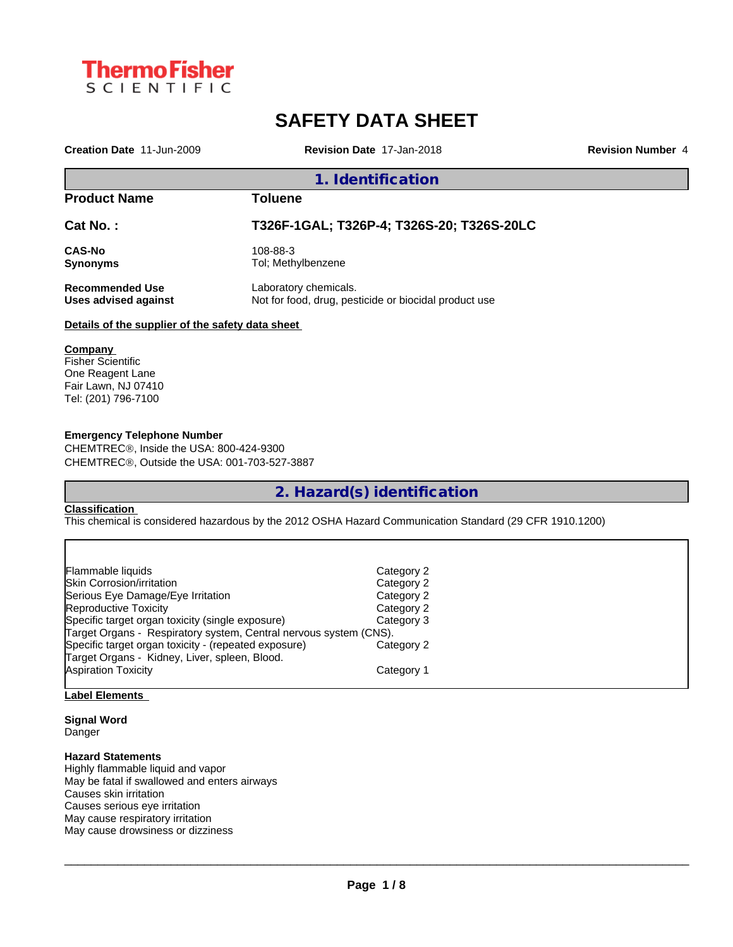

# **SAFETY DATA SHEET**

**Creation Date** 11-Jun-2009 **Revision Date** 17-Jan-2018 **Revision Number** 4

## **1. Identification**

| <b>Product Name</b>    | Toluene                                               |
|------------------------|-------------------------------------------------------|
| Cat No.:               | T326F-1GAL; T326P-4; T326S-20; T326S-20LC             |
| <b>CAS-No</b>          | 108-88-3                                              |
| <b>Synonyms</b>        | Tol: Methylbenzene                                    |
| <b>Recommended Use</b> | Laboratory chemicals.                                 |
| Uses advised against   | Not for food, drug, pesticide or biocidal product use |

## **Details of the supplier of the safety data sheet**

#### **Company**

Fisher Scientific One Reagent Lane Fair Lawn, NJ 07410 Tel: (201) 796-7100

## **Emergency Telephone Number**

CHEMTREC®, Inside the USA: 800-424-9300 CHEMTRECÒ, Outside the USA: 001-703-527-3887

**2. Hazard(s) identification**

## **Classification**

This chemical is considered hazardous by the 2012 OSHA Hazard Communication Standard (29 CFR 1910.1200)

| Flammable liquids                                                 | Category 2 |
|-------------------------------------------------------------------|------------|
| <b>Skin Corrosion/irritation</b>                                  | Category 2 |
| Serious Eye Damage/Eye Irritation                                 | Category 2 |
| Reproductive Toxicity                                             | Category 2 |
| Specific target organ toxicity (single exposure)                  | Category 3 |
| Target Organs - Respiratory system, Central nervous system (CNS). |            |
| Specific target organ toxicity - (repeated exposure)              | Category 2 |
| Target Organs - Kidney, Liver, spleen, Blood.                     |            |
| <b>Aspiration Toxicity</b>                                        | Category 1 |
|                                                                   |            |

## **Label Elements**

## **Signal Word**

Danger

## **Hazard Statements**

Highly flammable liquid and vapor May be fatal if swallowed and enters airways Causes skin irritation Causes serious eye irritation May cause respiratory irritation May cause drowsiness or dizziness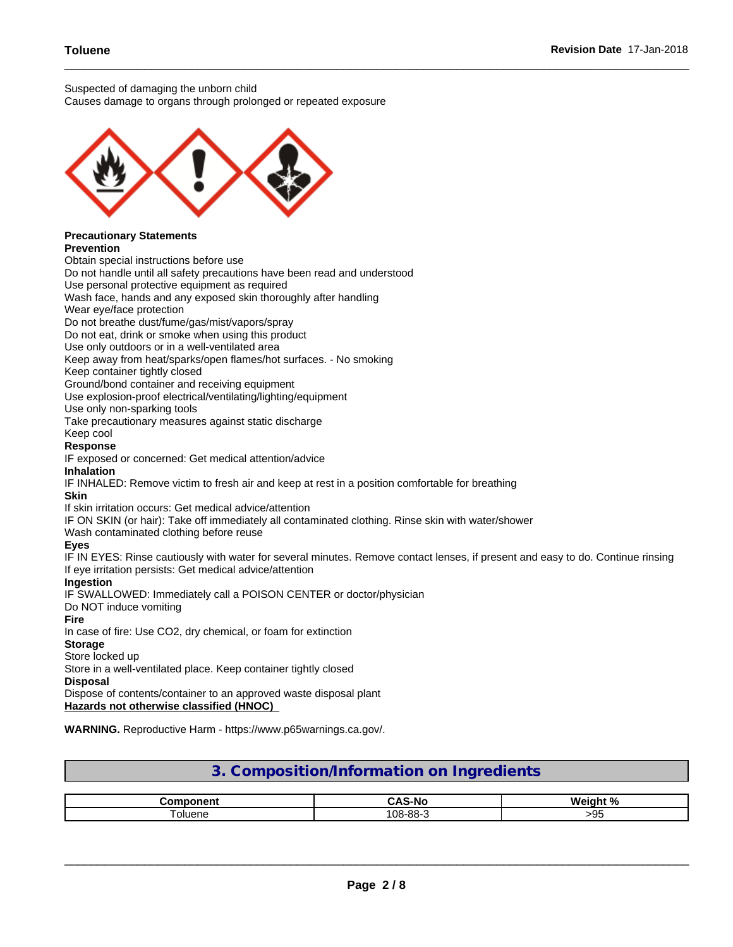Suspected of damaging the unborn child

Causes damage to organs through prolonged or repeated exposure



#### **Hazards not otherwise classified (HNOC)**

**WARNING.** Reproductive Harm - https://www.p65warnings.ca.gov/.

| 3. Composition/Information on Ingredients |  |
|-------------------------------------------|--|
|                                           |  |

|        | $\overline{\phantom{a}}$<br>טוי<br>. | $\sqrt{2}$       |
|--------|--------------------------------------|------------------|
| oluene | 108-88-<br>. vv                      | -u<br><b>- ت</b> |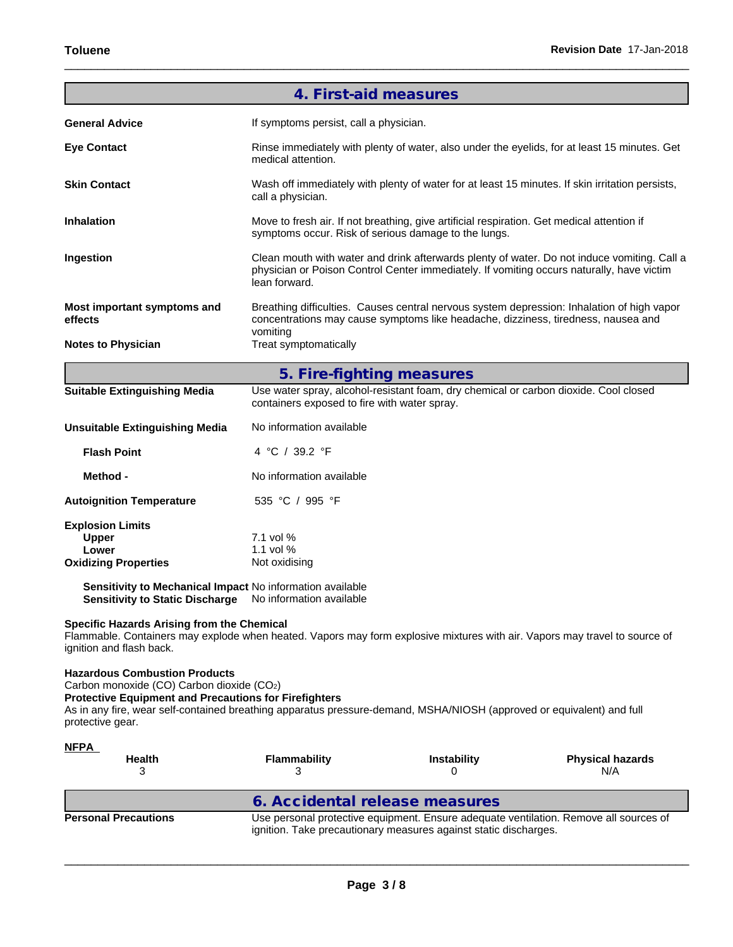|                                                                                                                                                                                                                                                                                                | 4. First-aid measures                                                                                                                |                                                                                                                                                                                          |                                                                                            |  |  |  |
|------------------------------------------------------------------------------------------------------------------------------------------------------------------------------------------------------------------------------------------------------------------------------------------------|--------------------------------------------------------------------------------------------------------------------------------------|------------------------------------------------------------------------------------------------------------------------------------------------------------------------------------------|--------------------------------------------------------------------------------------------|--|--|--|
| <b>General Advice</b>                                                                                                                                                                                                                                                                          | If symptoms persist, call a physician.                                                                                               |                                                                                                                                                                                          |                                                                                            |  |  |  |
| <b>Eye Contact</b>                                                                                                                                                                                                                                                                             | medical attention.                                                                                                                   | Rinse immediately with plenty of water, also under the eyelids, for at least 15 minutes. Get                                                                                             |                                                                                            |  |  |  |
| <b>Skin Contact</b>                                                                                                                                                                                                                                                                            | call a physician.                                                                                                                    | Wash off immediately with plenty of water for at least 15 minutes. If skin irritation persists,                                                                                          |                                                                                            |  |  |  |
| <b>Inhalation</b>                                                                                                                                                                                                                                                                              |                                                                                                                                      | Move to fresh air. If not breathing, give artificial respiration. Get medical attention if<br>symptoms occur. Risk of serious damage to the lungs.                                       |                                                                                            |  |  |  |
| Ingestion                                                                                                                                                                                                                                                                                      | lean forward.                                                                                                                        | Clean mouth with water and drink afterwards plenty of water. Do not induce vomiting. Call a<br>physician or Poison Control Center immediately. If vomiting occurs naturally, have victim |                                                                                            |  |  |  |
| Most important symptoms and<br>effects                                                                                                                                                                                                                                                         | vomiting                                                                                                                             | concentrations may cause symptoms like headache, dizziness, tiredness, nausea and                                                                                                        | Breathing difficulties. Causes central nervous system depression: Inhalation of high vapor |  |  |  |
| <b>Notes to Physician</b>                                                                                                                                                                                                                                                                      | Treat symptomatically                                                                                                                |                                                                                                                                                                                          |                                                                                            |  |  |  |
|                                                                                                                                                                                                                                                                                                | 5. Fire-fighting measures                                                                                                            |                                                                                                                                                                                          |                                                                                            |  |  |  |
| <b>Suitable Extinguishing Media</b>                                                                                                                                                                                                                                                            | Use water spray, alcohol-resistant foam, dry chemical or carbon dioxide. Cool closed<br>containers exposed to fire with water spray. |                                                                                                                                                                                          |                                                                                            |  |  |  |
| <b>Unsuitable Extinguishing Media</b>                                                                                                                                                                                                                                                          | No information available                                                                                                             |                                                                                                                                                                                          |                                                                                            |  |  |  |
| <b>Flash Point</b>                                                                                                                                                                                                                                                                             | 4 °C / 39.2 °F                                                                                                                       |                                                                                                                                                                                          |                                                                                            |  |  |  |
| Method -                                                                                                                                                                                                                                                                                       | No information available                                                                                                             |                                                                                                                                                                                          |                                                                                            |  |  |  |
| <b>Autoignition Temperature</b>                                                                                                                                                                                                                                                                | 535 °C / 995 °F                                                                                                                      |                                                                                                                                                                                          |                                                                                            |  |  |  |
| <b>Explosion Limits</b><br><b>Upper</b><br>Lower<br><b>Oxidizing Properties</b>                                                                                                                                                                                                                | 7.1 vol %<br>1.1 vol %<br>Not oxidising                                                                                              |                                                                                                                                                                                          |                                                                                            |  |  |  |
| Sensitivity to Mechanical Impact No information available<br>Sensitivity to Static Discharge No information available                                                                                                                                                                          |                                                                                                                                      |                                                                                                                                                                                          |                                                                                            |  |  |  |
| <b>Specific Hazards Arising from the Chemical</b><br>Flammable. Containers may explode when heated. Vapors may form explosive mixtures with air. Vapors may travel to source of<br>ignition and flash back.                                                                                    |                                                                                                                                      |                                                                                                                                                                                          |                                                                                            |  |  |  |
| <b>Hazardous Combustion Products</b><br>Carbon monoxide (CO) Carbon dioxide (CO2)<br><b>Protective Equipment and Precautions for Firefighters</b><br>As in any fire, wear self-contained breathing apparatus pressure-demand, MSHA/NIOSH (approved or equivalent) and full<br>protective gear. |                                                                                                                                      |                                                                                                                                                                                          |                                                                                            |  |  |  |
| <u>NFPA</u><br><b>Health</b><br>3                                                                                                                                                                                                                                                              | <b>Flammability</b><br>3                                                                                                             | Instability<br>0                                                                                                                                                                         | <b>Physical hazards</b><br>N/A                                                             |  |  |  |
|                                                                                                                                                                                                                                                                                                | 6. Accidental release measures                                                                                                       |                                                                                                                                                                                          |                                                                                            |  |  |  |
| <b>Personal Precautions</b>                                                                                                                                                                                                                                                                    |                                                                                                                                      |                                                                                                                                                                                          | Use personal protective equipment. Ensure adequate ventilation. Remove all sources of      |  |  |  |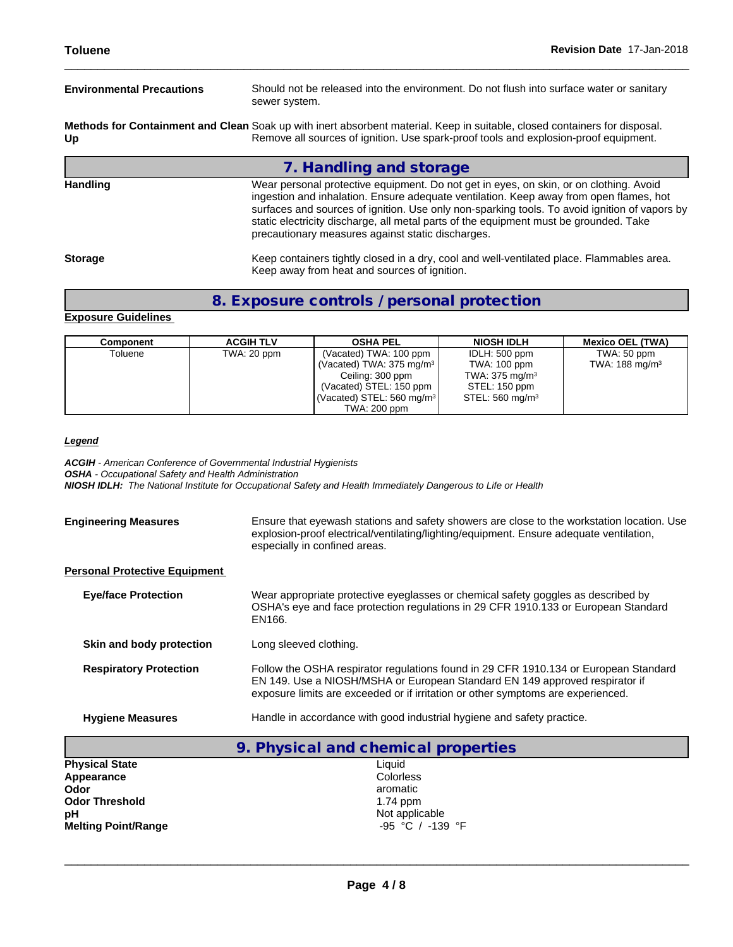| <b>Environmental Precautions</b>                                                                                                                                                                                         | Should not be released into the environment. Do not flush into surface water or sanitary<br>sewer system.                                                                                                                                                                                                                                                                                                                       |  |  |  |
|--------------------------------------------------------------------------------------------------------------------------------------------------------------------------------------------------------------------------|---------------------------------------------------------------------------------------------------------------------------------------------------------------------------------------------------------------------------------------------------------------------------------------------------------------------------------------------------------------------------------------------------------------------------------|--|--|--|
| Methods for Containment and Clean Soak up with inert absorbent material. Keep in suitable, closed containers for disposal.<br>Remove all sources of ignition. Use spark-proof tools and explosion-proof equipment.<br>Up |                                                                                                                                                                                                                                                                                                                                                                                                                                 |  |  |  |
|                                                                                                                                                                                                                          | 7. Handling and storage                                                                                                                                                                                                                                                                                                                                                                                                         |  |  |  |
| <b>Handling</b>                                                                                                                                                                                                          | Wear personal protective equipment. Do not get in eyes, on skin, or on clothing. Avoid<br>ingestion and inhalation. Ensure adequate ventilation. Keep away from open flames, hot<br>surfaces and sources of ignition. Use only non-sparking tools. To avoid ignition of vapors by<br>static electricity discharge, all metal parts of the equipment must be grounded. Take<br>precautionary measures against static discharges. |  |  |  |
| <b>Storage</b>                                                                                                                                                                                                           | Keep containers tightly closed in a dry, cool and well-ventilated place. Flammables area.<br>Keep away from heat and sources of ignition.                                                                                                                                                                                                                                                                                       |  |  |  |

## **8. Exposure controls / personal protection**

## **Exposure Guidelines**

| Component | <b>ACGIH TLV</b> | <b>OSHA PEL</b>                       | <b>NIOSH IDLH</b>           | <b>Mexico OEL (TWA)</b>    |  |
|-----------|------------------|---------------------------------------|-----------------------------|----------------------------|--|
| Toluene   | TWA: 20 ppm      | (Vacated) TWA: 100 ppm                | IDLH: 500 ppm               | TWA: 50 ppm                |  |
|           |                  | (Vacated) TWA: $375 \text{ mg/m}^3$   | TWA: 100 ppm                | TWA: 188 mg/m <sup>3</sup> |  |
|           |                  | Ceiling: 300 ppm                      | TWA: $375 \text{ mg/m}^3$   |                            |  |
|           |                  | (Vacated) STEL: 150 ppm               | STEL: 150 ppm               |                            |  |
|           |                  | (Vacated) STEL: 560 mg/m <sup>3</sup> | STEL: 560 mg/m <sup>3</sup> |                            |  |
|           |                  | TWA: 200 ppm                          |                             |                            |  |

## *Legend*

*ACGIH - American Conference of Governmental Industrial Hygienists OSHA - Occupational Safety and Health Administration NIOSH IDLH: The National Institute for Occupational Safety and Health Immediately Dangerous to Life or Health*

| <b>Engineering Measures</b>          | Ensure that eyewash stations and safety showers are close to the workstation location. Use<br>explosion-proof electrical/ventilating/lighting/equipment. Ensure adequate ventilation,<br>especially in confined areas.                                  |
|--------------------------------------|---------------------------------------------------------------------------------------------------------------------------------------------------------------------------------------------------------------------------------------------------------|
| <b>Personal Protective Equipment</b> |                                                                                                                                                                                                                                                         |
| <b>Eve/face Protection</b>           | Wear appropriate protective eyeglasses or chemical safety goggles as described by<br>OSHA's eye and face protection regulations in 29 CFR 1910.133 or European Standard<br>EN166.                                                                       |
| Skin and body protection             | Long sleeved clothing.                                                                                                                                                                                                                                  |
| <b>Respiratory Protection</b>        | Follow the OSHA respirator regulations found in 29 CFR 1910.134 or European Standard<br>EN 149. Use a NIOSH/MSHA or European Standard EN 149 approved respirator if<br>exposure limits are exceeded or if irritation or other symptoms are experienced. |
| <b>Hygiene Measures</b>              | Handle in accordance with good industrial hygiene and safety practice.                                                                                                                                                                                  |

|                            | 9. Physical and chemical properties |
|----------------------------|-------------------------------------|
| <b>Physical State</b>      | Liquid                              |
| Appearance                 | Colorless                           |
| Odor                       | aromatic                            |
| <b>Odor Threshold</b>      | $1.74$ ppm                          |
| рH                         | Not applicable                      |
| <b>Melting Point/Range</b> | -95 °C / -139 °F                    |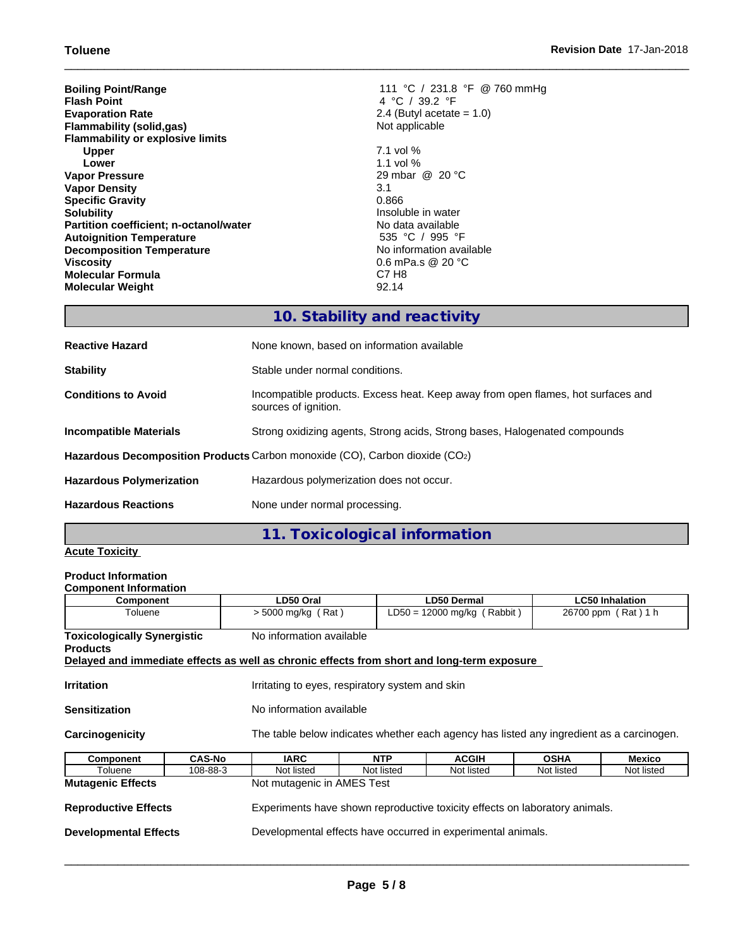| 111 °C / 231.8 °F @ 760 mmHg |
|------------------------------|
| 4 °C / 39.2 °F               |
| 2.4 (Butyl acetate $= 1.0$ ) |
| Not applicable               |
|                              |
| $7.1$ vol %                  |
| 1.1 vol $%$                  |
| 29 mbar @ 20 °C              |
| 3.1                          |
| 0.866                        |
| Insoluble in water           |
| No data available            |
| 535 °C / 995 °F              |
| No information available     |
| 0.6 mPa.s @ 20 $^{\circ}$ C  |
| C7 H <sub>8</sub>            |
| 92.14                        |
|                              |

# **10. Stability and reactivity**

| <b>Reactive Hazard</b>          | None known, based on information available                                                               |
|---------------------------------|----------------------------------------------------------------------------------------------------------|
| <b>Stability</b>                | Stable under normal conditions.                                                                          |
| <b>Conditions to Avoid</b>      | Incompatible products. Excess heat. Keep away from open flames, hot surfaces and<br>sources of ignition. |
| <b>Incompatible Materials</b>   | Strong oxidizing agents, Strong acids, Strong bases, Halogenated compounds                               |
|                                 | Hazardous Decomposition Products Carbon monoxide (CO), Carbon dioxide (CO2)                              |
| <b>Hazardous Polymerization</b> | Hazardous polymerization does not occur.                                                                 |
| <b>Hazardous Reactions</b>      | None under normal processing.                                                                            |

## **11. Toxicological information**

## **Acute Toxicity**

# **Product Information**

| <b>Component Information</b>                                                               |                      |                                                                                          |                    |             |                        |  |  |
|--------------------------------------------------------------------------------------------|----------------------|------------------------------------------------------------------------------------------|--------------------|-------------|------------------------|--|--|
| <b>Component</b>                                                                           | LD50 Oral            |                                                                                          | <b>LD50 Dermal</b> |             | <b>LC50 Inhalation</b> |  |  |
| Toluene                                                                                    | $>$ 5000 mg/kg (Rat) | LD50 = 12000 mg/kg (Rabbit)                                                              |                    |             | 26700 ppm (Rat) 1 h    |  |  |
| <b>Toxicologically Synergistic</b><br><b>Products</b>                                      |                      | No information available                                                                 |                    |             |                        |  |  |
| Delayed and immediate effects as well as chronic effects from short and long-term exposure |                      |                                                                                          |                    |             |                        |  |  |
| <b>Irritation</b><br>Irritating to eyes, respiratory system and skin                       |                      |                                                                                          |                    |             |                        |  |  |
| No information available<br><b>Sensitization</b>                                           |                      |                                                                                          |                    |             |                        |  |  |
| Carcinogenicity                                                                            |                      | The table below indicates whether each agency has listed any ingredient as a carcinogen. |                    |             |                        |  |  |
| <b>CAS-No</b><br><b>Component</b>                                                          | <b>IARC</b>          | <b>NTP</b>                                                                               | <b>ACGIH</b>       | <b>OSHA</b> | Mexico                 |  |  |
| Toluene<br>108-88-3                                                                        | Not listed           | Not listed                                                                               | Not listed         | Not listed  | Not listed             |  |  |
| Not mutagenic in AMES Test<br><b>Mutagenic Effects</b>                                     |                      |                                                                                          |                    |             |                        |  |  |
| <b>Reproductive Effects</b>                                                                |                      | Experiments have shown reproductive toxicity effects on laboratory animals.              |                    |             |                        |  |  |
| <b>Developmental Effects</b>                                                               |                      | Developmental effects have occurred in experimental animals.                             |                    |             |                        |  |  |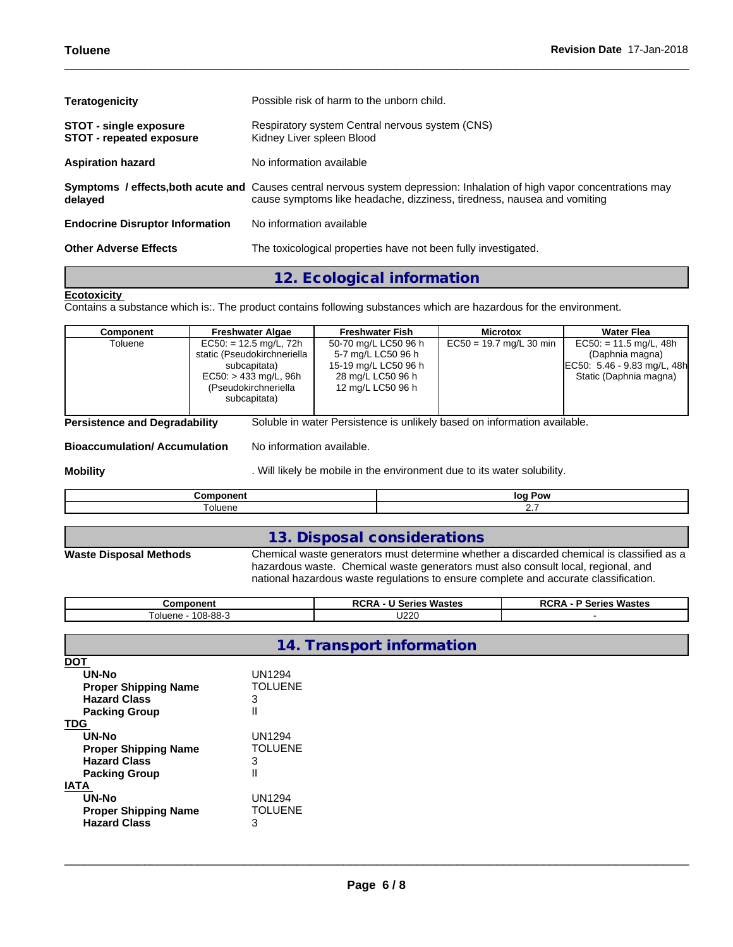| <b>Teratogenicity</b>                                            | Possible risk of harm to the unborn child.                                                                                                                                                          |
|------------------------------------------------------------------|-----------------------------------------------------------------------------------------------------------------------------------------------------------------------------------------------------|
| <b>STOT - single exposure</b><br><b>STOT - repeated exposure</b> | Respiratory system Central nervous system (CNS)<br>Kidney Liver spleen Blood                                                                                                                        |
| <b>Aspiration hazard</b>                                         | No information available                                                                                                                                                                            |
| delayed                                                          | Symptoms / effects, both acute and Causes central nervous system depression: Inhalation of high vapor concentrations may<br>cause symptoms like headache, dizziness, tiredness, nausea and vomiting |
| <b>Endocrine Disruptor Information</b>                           | No information available                                                                                                                                                                            |
| <b>Other Adverse Effects</b>                                     | The toxicological properties have not been fully investigated.                                                                                                                                      |

## **12. Ecological information**

## **Ecotoxicity**

Contains a substance which is:. The product contains following substances which are hazardous for the environment.

| $EC50 = 19.7$ mg/L 30 min<br>$EC50: = 11.5$ mg/L, 48h<br>$EC50: = 12.5$ mg/L, 72h<br>50-70 mg/L LC50 96 h<br>Toluene<br>static (Pseudokirchneriella<br>(Daphnia magna)<br>5-7 mg/L LC50 96 h<br>EC50: 5.46 - 9.83 mg/L, 48h<br>15-19 mg/L LC50 96 h<br>subcapitata)<br>Static (Daphnia magna)<br>28 mg/L LC50 96 h<br>$EC50: > 433$ mg/L, 96h<br>(Pseudokirchneriella<br>12 mg/L LC50 96 h<br>subcapitata) | Component | <b>Freshwater Algae</b> | <b>Freshwater Fish</b> | <b>Microtox</b> | <b>Water Flea</b> |
|------------------------------------------------------------------------------------------------------------------------------------------------------------------------------------------------------------------------------------------------------------------------------------------------------------------------------------------------------------------------------------------------------------|-----------|-------------------------|------------------------|-----------------|-------------------|
|                                                                                                                                                                                                                                                                                                                                                                                                            |           |                         |                        |                 |                   |

**Bioaccumulation/ Accumulation** No information available.

**Mobility Mobility** . Will likely be mobile in the environment due to its water solubility.

| .<br>$ -$<br>$ -$<br>н<br>4 H | эw     |
|-------------------------------|--------|
| oluene.                       | $\sim$ |

## **13. Disposal considerations**

## **Waste Disposal Methods** Chemical waste generators must determine whether a discarded chemical is classified as a hazardous waste. Chemical waste generators must also consult local, regional, and national hazardous waste regulations to ensure complete and accurate classification.

| <b>Component</b>               | $\cdots$<br>Wastes<br>ுட<br>ieries<br>wr. | <b>Wastes</b><br>ימם<br>Series<br><b>RCRA</b> |
|--------------------------------|-------------------------------------------|-----------------------------------------------|
| RRAC<br>oluene<br>ึบบาง<br>. . | ∩פפי∸<br>UZZU                             |                                               |

|                                                                                                                                                                                | 14. Transport information                                                      |  |  |  |  |  |
|--------------------------------------------------------------------------------------------------------------------------------------------------------------------------------|--------------------------------------------------------------------------------|--|--|--|--|--|
| <b>DOT</b><br>UN-No<br><b>Proper Shipping Name</b><br><b>Hazard Class</b><br><b>Packing Group</b><br><b>TDG</b><br>UN-No<br><b>Proper Shipping Name</b><br><b>Hazard Class</b> | UN1294<br><b>TOLUENE</b><br>3<br>$\mathsf{I}$<br>UN1294<br><b>TOLUENE</b><br>3 |  |  |  |  |  |
| <b>Packing Group</b><br><b>IATA</b><br>UN-No<br><b>Proper Shipping Name</b><br><b>Hazard Class</b>                                                                             | Ш<br>UN1294<br><b>TOLUENE</b><br>3                                             |  |  |  |  |  |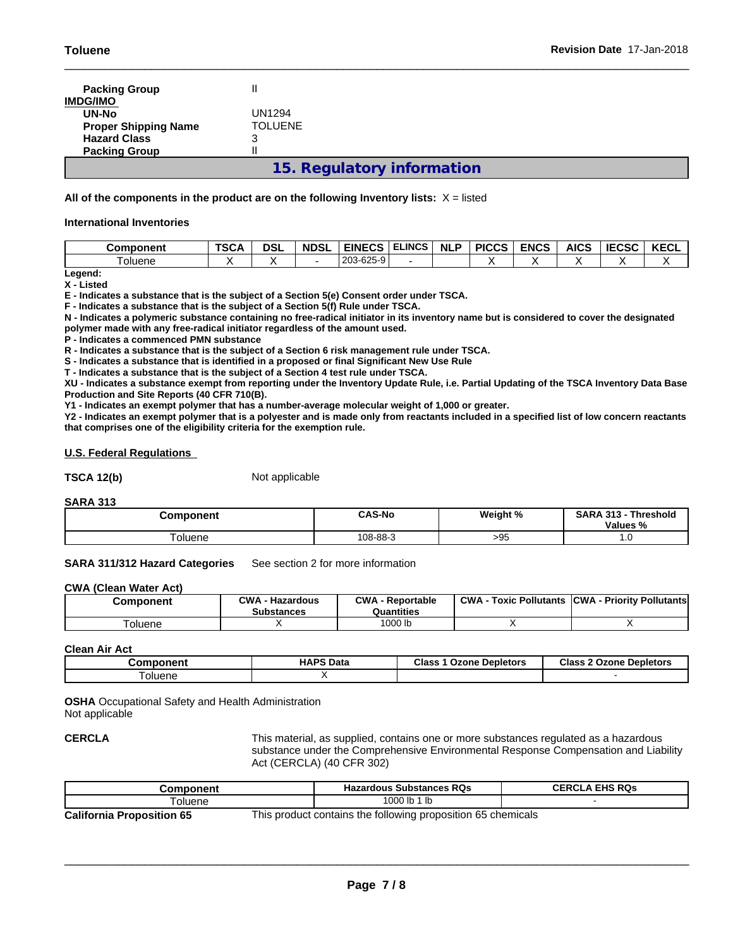| <b>Packing Group</b>        |                     |
|-----------------------------|---------------------|
| <b>IMDG/IMO</b>             |                     |
| UN-No                       | UN1294              |
| <b>Proper Shipping Name</b> | TOLUENE             |
| <b>Hazard Class</b>         | 3                   |
| <b>Packing Group</b>        |                     |
|                             | 15 Requision inform |

## **15. Regulatory information**

## **All of the components in the product are on the following Inventory lists:** X = listed

#### **International Inventories**

| Component     | <b>TSCA</b> | <b>DSI</b> | <b>NDSL</b> | <b>EINECS</b> | <b>ELINCS</b> | <b>NLP</b> | <b>PICCS</b> | <b>ENCS</b> | <b>AICS</b> | <b>IECSC</b> | <b>IZEOI</b><br>NEVL |
|---------------|-------------|------------|-------------|---------------|---------------|------------|--------------|-------------|-------------|--------------|----------------------|
| <b>Oluene</b> |             |            |             | 203-625-9     |               |            |              |             |             |              |                      |

**Legend: X - Listed**

**E - Indicates a substance that is the subject of a Section 5(e) Consent order under TSCA.**

**F - Indicates a substance that is the subject of a Section 5(f) Rule under TSCA.**

**N - Indicates a polymeric substance containing no free-radical initiator in its inventory name but is considered to cover the designated polymer made with any free-radical initiator regardless of the amount used.**

**P - Indicates a commenced PMN substance**

**R - Indicates a substance that is the subject of a Section 6 risk management rule under TSCA.**

**S - Indicates a substance that is identified in a proposed or final Significant New Use Rule**

**T - Indicates a substance that is the subject of a Section 4 test rule under TSCA.**

**XU - Indicates a substance exempt from reporting under the Inventory Update Rule, i.e. Partial Updating of the TSCA Inventory Data Base Production and Site Reports (40 CFR 710(B).**

**Y1 - Indicates an exempt polymer that has a number-average molecular weight of 1,000 or greater.**

**Y2 - Indicates an exempt polymer that is a polyester and is made only from reactants included in a specified list of low concern reactants that comprises one of the eligibility criteria for the exemption rule.**

#### **U.S. Federal Regulations**

TSCA 12(b) Not applicable

**SARA 313**

| <b>Component</b> | <b>CAS-No</b> | Weight % | 242<br><b>SARA</b><br>Threshold<br>$\mathbf{a}$<br>Values % |
|------------------|---------------|----------|-------------------------------------------------------------|
| oluene           | 108-88-3      | >95      | ט. ו                                                        |

**SARA 311/312 Hazard Categories** See section 2 for more information

#### **CWA** (Clean Water Act)

| Component | CWA<br>Hazardous<br>Substances | CWA<br>. - Reportable<br>Quantities | <b>CWA</b><br><b>Pollutants</b><br>Toxic | · Prioritv Pollutantsl<br><b>ICWA</b> |
|-----------|--------------------------------|-------------------------------------|------------------------------------------|---------------------------------------|
| oluene    |                                | 1000 lb                             |                                          |                                       |

**Clean Air Act**

| :omnonent | <b>HAPS Data</b> | <b>Class</b><br>Ozone Depletors | Class<br><b>Ozone</b><br>$\overline{\phantom{a}}$<br><b>Depletors</b> |
|-----------|------------------|---------------------------------|-----------------------------------------------------------------------|
| oluene    |                  |                                 |                                                                       |

**OSHA** Occupational Safety and Health Administration Not applicable

**CERCLA** This material, as supplied, contains one or more substances regulated as a hazardous substance under the Comprehensive Environmental Response Compensation and Liability Act (CERCLA) (40 CFR 302)

| Component                        | <b>Hazardous Substances RQs</b>                              | <b>CERCLA EHS RQS</b> |
|----------------------------------|--------------------------------------------------------------|-----------------------|
| oluene                           | 1000 lb 1 lb                                                 |                       |
| <b>California Proposition 65</b> | This product contains the following proposition 65 chemicals |                       |